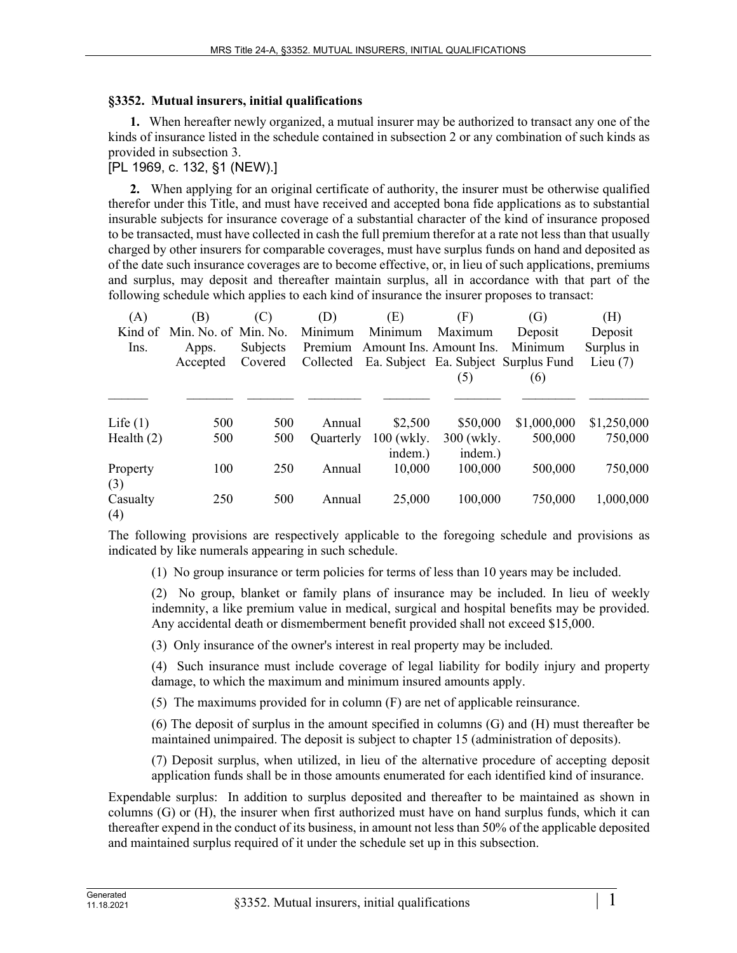## **§3352. Mutual insurers, initial qualifications**

**1.** When hereafter newly organized, a mutual insurer may be authorized to transact any one of the kinds of insurance listed in the schedule contained in subsection 2 or any combination of such kinds as provided in subsection 3.

[PL 1969, c. 132, §1 (NEW).]

**2.** When applying for an original certificate of authority, the insurer must be otherwise qualified therefor under this Title, and must have received and accepted bona fide applications as to substantial insurable subjects for insurance coverage of a substantial character of the kind of insurance proposed to be transacted, must have collected in cash the full premium therefor at a rate not less than that usually charged by other insurers for comparable coverages, must have surplus funds on hand and deposited as of the date such insurance coverages are to become effective, or, in lieu of such applications, premiums and surplus, may deposit and thereafter maintain surplus, all in accordance with that part of the following schedule which applies to each kind of insurance the insurer proposes to transact:

| (A)             | (B)                  | (C)      | (D)              | (E)                     | (F)                   | (G)                                  | (H)         |
|-----------------|----------------------|----------|------------------|-------------------------|-----------------------|--------------------------------------|-------------|
| Kind of         | Min. No. of Min. No. |          | Minimum          | Minimum                 | Maximum               | Deposit                              | Deposit     |
| Ins.            | Apps.                | Subjects | Premium          | Amount Ins. Amount Ins. |                       | Minimum                              | Surplus in  |
|                 | Accepted             | Covered  | Collected        |                         |                       | Ea. Subject Ea. Subject Surplus Fund | Lieu $(7)$  |
|                 |                      |          |                  |                         | (5)                   | (6)                                  |             |
|                 |                      |          |                  |                         |                       |                                      |             |
| Life $(1)$      | 500                  | 500      | Annual           | \$2,500                 | \$50,000              | \$1,000,000                          | \$1,250,000 |
| Health $(2)$    | 500                  | 500      | <b>Ouarterly</b> | 100 (wkly.<br>indem.)   | 300 (wkly.<br>indem.) | 500,000                              | 750,000     |
| Property<br>(3) | 100                  | 250      | Annual           | 10,000                  | 100,000               | 500,000                              | 750,000     |
| Casualty<br>(4) | 250                  | 500      | Annual           | 25,000                  | 100,000               | 750,000                              | 1,000,000   |

The following provisions are respectively applicable to the foregoing schedule and provisions as indicated by like numerals appearing in such schedule.

(1) No group insurance or term policies for terms of less than 10 years may be included.

(2) No group, blanket or family plans of insurance may be included. In lieu of weekly indemnity, a like premium value in medical, surgical and hospital benefits may be provided. Any accidental death or dismemberment benefit provided shall not exceed \$15,000.

(3) Only insurance of the owner's interest in real property may be included.

(4) Such insurance must include coverage of legal liability for bodily injury and property damage, to which the maximum and minimum insured amounts apply.

(5) The maximums provided for in column (F) are net of applicable reinsurance.

(6) The deposit of surplus in the amount specified in columns (G) and (H) must thereafter be maintained unimpaired. The deposit is subject to chapter 15 (administration of deposits).

(7) Deposit surplus, when utilized, in lieu of the alternative procedure of accepting deposit application funds shall be in those amounts enumerated for each identified kind of insurance.

Expendable surplus: In addition to surplus deposited and thereafter to be maintained as shown in columns (G) or (H), the insurer when first authorized must have on hand surplus funds, which it can thereafter expend in the conduct of its business, in amount not less than 50% of the applicable deposited and maintained surplus required of it under the schedule set up in this subsection.